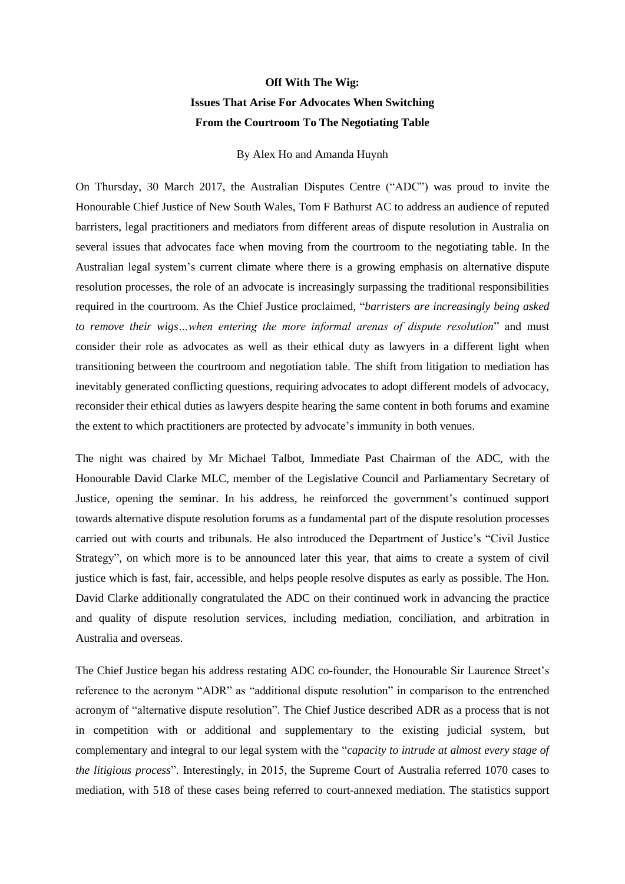## **Off With The Wig: Issues That Arise For Advocates When Switching From the Courtroom To The Negotiating Table**

By Alex Ho and Amanda Huynh

On Thursday, 30 March 2017, the Australian Disputes Centre ("ADC") was proud to invite the Honourable Chief Justice of New South Wales, Tom F Bathurst AC to address an audience of reputed barristers, legal practitioners and mediators from different areas of dispute resolution in Australia on several issues that advocates face when moving from the courtroom to the negotiating table. In the Australian legal system's current climate where there is a growing emphasis on alternative dispute resolution processes, the role of an advocate is increasingly surpassing the traditional responsibilities required in the courtroom. As the Chief Justice proclaimed, "*barristers are increasingly being asked to remove their wigs…when entering the more informal arenas of dispute resolution*" and must consider their role as advocates as well as their ethical duty as lawyers in a different light when transitioning between the courtroom and negotiation table. The shift from litigation to mediation has inevitably generated conflicting questions, requiring advocates to adopt different models of advocacy, reconsider their ethical duties as lawyers despite hearing the same content in both forums and examine the extent to which practitioners are protected by advocate's immunity in both venues.

The night was chaired by Mr Michael Talbot, Immediate Past Chairman of the ADC, with the Honourable David Clarke MLC, member of the Legislative Council and Parliamentary Secretary of Justice, opening the seminar. In his address, he reinforced the government's continued support towards alternative dispute resolution forums as a fundamental part of the dispute resolution processes carried out with courts and tribunals. He also introduced the Department of Justice's "Civil Justice Strategy", on which more is to be announced later this year, that aims to create a system of civil justice which is fast, fair, accessible, and helps people resolve disputes as early as possible. The Hon. David Clarke additionally congratulated the ADC on their continued work in advancing the practice and quality of dispute resolution services, including mediation, conciliation, and arbitration in Australia and overseas.

The Chief Justice began his address restating ADC co-founder, the Honourable Sir Laurence Street's reference to the acronym "ADR" as "additional dispute resolution" in comparison to the entrenched acronym of "alternative dispute resolution". The Chief Justice described ADR as a process that is not in competition with or additional and supplementary to the existing judicial system, but complementary and integral to our legal system with the "*capacity to intrude at almost every stage of the litigious process*". Interestingly, in 2015, the Supreme Court of Australia referred 1070 cases to mediation, with 518 of these cases being referred to court-annexed mediation. The statistics support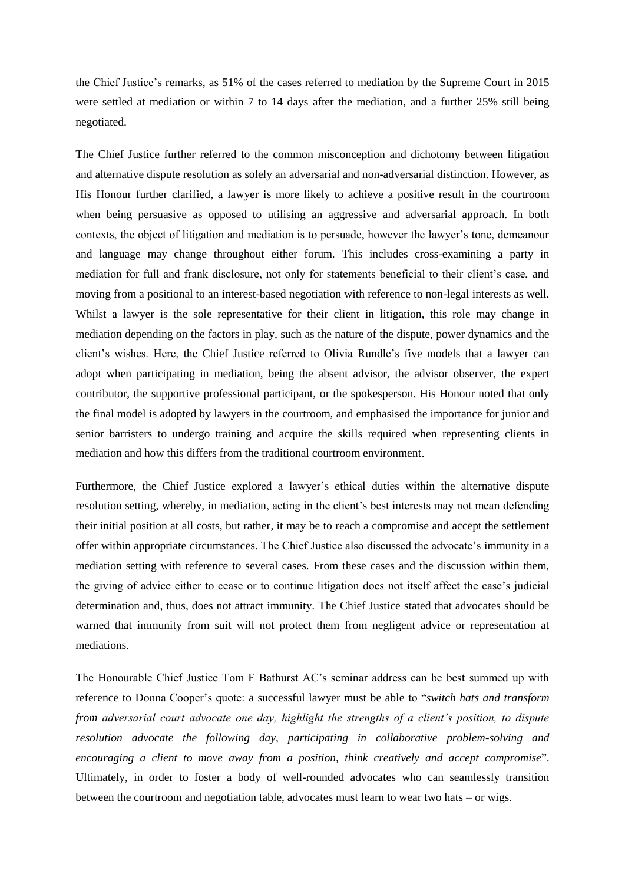the Chief Justice's remarks, as 51% of the cases referred to mediation by the Supreme Court in 2015 were settled at mediation or within 7 to 14 days after the mediation, and a further 25% still being negotiated.

The Chief Justice further referred to the common misconception and dichotomy between litigation and alternative dispute resolution as solely an adversarial and non-adversarial distinction. However, as His Honour further clarified, a lawyer is more likely to achieve a positive result in the courtroom when being persuasive as opposed to utilising an aggressive and adversarial approach. In both contexts, the object of litigation and mediation is to persuade, however the lawyer's tone, demeanour and language may change throughout either forum. This includes cross-examining a party in mediation for full and frank disclosure, not only for statements beneficial to their client's case, and moving from a positional to an interest-based negotiation with reference to non-legal interests as well. Whilst a lawyer is the sole representative for their client in litigation, this role may change in mediation depending on the factors in play, such as the nature of the dispute, power dynamics and the client's wishes. Here, the Chief Justice referred to Olivia Rundle's five models that a lawyer can adopt when participating in mediation, being the absent advisor, the advisor observer, the expert contributor, the supportive professional participant, or the spokesperson. His Honour noted that only the final model is adopted by lawyers in the courtroom, and emphasised the importance for junior and senior barristers to undergo training and acquire the skills required when representing clients in mediation and how this differs from the traditional courtroom environment.

Furthermore, the Chief Justice explored a lawyer's ethical duties within the alternative dispute resolution setting, whereby, in mediation, acting in the client's best interests may not mean defending their initial position at all costs, but rather, it may be to reach a compromise and accept the settlement offer within appropriate circumstances. The Chief Justice also discussed the advocate's immunity in a mediation setting with reference to several cases. From these cases and the discussion within them, the giving of advice either to cease or to continue litigation does not itself affect the case's judicial determination and, thus, does not attract immunity. The Chief Justice stated that advocates should be warned that immunity from suit will not protect them from negligent advice or representation at mediations.

The Honourable Chief Justice Tom F Bathurst AC's seminar address can be best summed up with reference to Donna Cooper's quote: a successful lawyer must be able to "*switch hats and transform from adversarial court advocate one day, highlight the strengths of a client's position, to dispute resolution advocate the following day, participating in collaborative problem-solving and encouraging a client to move away from a position, think creatively and accept compromise*". Ultimately, in order to foster a body of well-rounded advocates who can seamlessly transition between the courtroom and negotiation table, advocates must learn to wear two hats – or wigs.